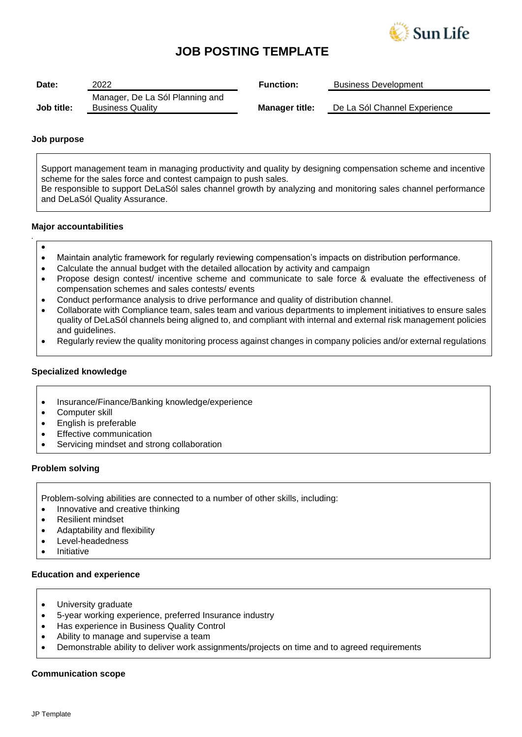

# **JOB POSTING TEMPLATE**

| Date:      | 2022                            | <b>Function:</b>      | <b>Business Development</b>  |
|------------|---------------------------------|-----------------------|------------------------------|
|            | Manager, De La Sól Planning and |                       |                              |
| Job title: | <b>Business Quality</b>         | <b>Manager title:</b> | De La Sól Channel Experience |

#### **Job purpose**

Support management team in managing productivity and quality by designing compensation scheme and incentive scheme for the sales force and contest campaign to push sales. Be responsible to support DeLaSól sales channel growth by analyzing and monitoring sales channel performance and DeLaSól Quality Assurance.

#### **Major accountabilities**

•

*.*

- Maintain analytic framework for regularly reviewing compensation's impacts on distribution performance.
- Calculate the annual budget with the detailed allocation by activity and campaign
- Propose design contest/ incentive scheme and communicate to sale force & evaluate the effectiveness of compensation schemes and sales contests/ events
- Conduct performance analysis to drive performance and quality of distribution channel.
- Collaborate with Compliance team, sales team and various departments to implement initiatives to ensure sales quality of DeLaSól channels being aligned to, and compliant with internal and external risk management policies and guidelines.
- Regularly review the quality monitoring process against changes in company policies and/or external regulations

#### **Specialized knowledge**

- Insurance/Finance/Banking knowledge/experience
- Computer skill
- English is preferable
- Effective communication
- Servicing mindset and strong collaboration

### **Problem solving**

Problem-solving abilities are connected to a number of other skills, including:

- Innovative and creative thinking
- Resilient mindset
- Adaptability and flexibility
- Level-headedness
- Initiative

### **Education and experience**

- University graduate
- 5-year working experience, preferred Insurance industry
- Has experience in Business Quality Control
- Ability to manage and supervise a team
- Demonstrable ability to deliver work assignments/projects on time and to agreed requirements

## **Communication scope**